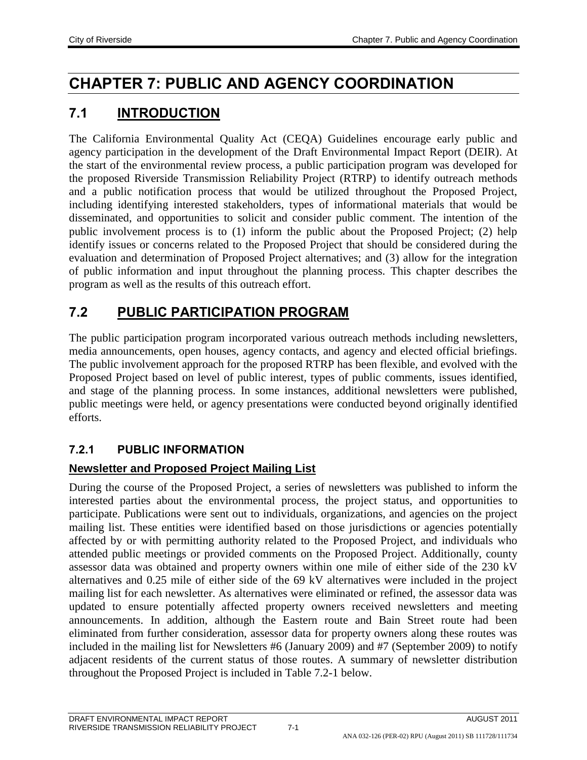# **CHAPTER 7: PUBLIC AND AGENCY COORDINATION**

# **7.1 INTRODUCTION**

The California Environmental Quality Act (CEQA) Guidelines encourage early public and agency participation in the development of the Draft Environmental Impact Report (DEIR). At the start of the environmental review process, a public participation program was developed for the proposed Riverside Transmission Reliability Project (RTRP) to identify outreach methods and a public notification process that would be utilized throughout the Proposed Project, including identifying interested stakeholders, types of informational materials that would be disseminated, and opportunities to solicit and consider public comment. The intention of the public involvement process is to (1) inform the public about the Proposed Project; (2) help identify issues or concerns related to the Proposed Project that should be considered during the evaluation and determination of Proposed Project alternatives; and (3) allow for the integration of public information and input throughout the planning process. This chapter describes the program as well as the results of this outreach effort.

# **7.2 PUBLIC PARTICIPATION PROGRAM**

The public participation program incorporated various outreach methods including newsletters, media announcements, open houses, agency contacts, and agency and elected official briefings. The public involvement approach for the proposed RTRP has been flexible, and evolved with the Proposed Project based on level of public interest, types of public comments, issues identified, and stage of the planning process. In some instances, additional newsletters were published, public meetings were held, or agency presentations were conducted beyond originally identified efforts.

# **7.2.1 PUBLIC INFORMATION**

# **Newsletter and Proposed Project Mailing List**

During the course of the Proposed Project, a series of newsletters was published to inform the interested parties about the environmental process, the project status, and opportunities to participate. Publications were sent out to individuals, organizations, and agencies on the project mailing list. These entities were identified based on those jurisdictions or agencies potentially affected by or with permitting authority related to the Proposed Project, and individuals who attended public meetings or provided comments on the Proposed Project. Additionally, county assessor data was obtained and property owners within one mile of either side of the 230 kV alternatives and 0.25 mile of either side of the 69 kV alternatives were included in the project mailing list for each newsletter. As alternatives were eliminated or refined, the assessor data was updated to ensure potentially affected property owners received newsletters and meeting announcements. In addition, although the Eastern route and Bain Street route had been eliminated from further consideration, assessor data for property owners along these routes was included in the mailing list for Newsletters #6 (January 2009) and #7 (September 2009) to notify adjacent residents of the current status of those routes. A summary of newsletter distribution throughout the Proposed Project is included in Table 7.2-1 below.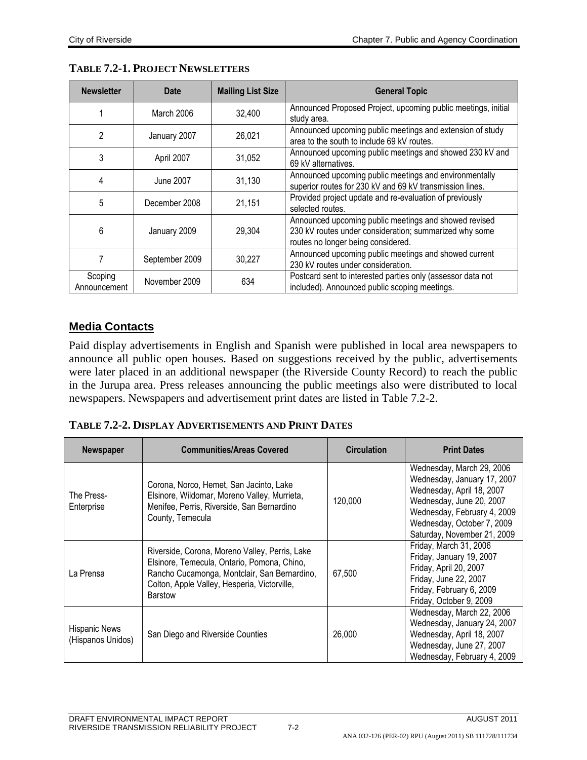| <b>Newsletter</b>       | <b>Date</b>    | <b>Mailing List Size</b> | <b>General Topic</b>                                                                                                                                  |
|-------------------------|----------------|--------------------------|-------------------------------------------------------------------------------------------------------------------------------------------------------|
|                         | March 2006     | 32,400                   | Announced Proposed Project, upcoming public meetings, initial<br>study area.                                                                          |
| 2                       | January 2007   | 26,021                   | Announced upcoming public meetings and extension of study<br>area to the south to include 69 kV routes.                                               |
| 3                       | April 2007     | 31,052                   | Announced upcoming public meetings and showed 230 kV and<br>69 kV alternatives.                                                                       |
| 4                       | June 2007      | 31,130                   | Announced upcoming public meetings and environmentally<br>superior routes for 230 kV and 69 kV transmission lines.                                    |
| 5                       | December 2008  | 21,151                   | Provided project update and re-evaluation of previously<br>selected routes.                                                                           |
| 6                       | January 2009   | 29,304                   | Announced upcoming public meetings and showed revised<br>230 kV routes under consideration; summarized why some<br>routes no longer being considered. |
|                         | September 2009 | 30,227                   | Announced upcoming public meetings and showed current<br>230 kV routes under consideration.                                                           |
| Scoping<br>Announcement | November 2009  | 634                      | Postcard sent to interested parties only (assessor data not<br>included). Announced public scoping meetings.                                          |

#### **TABLE 7.2-1. PROJECT NEWSLETTERS**

### **Media Contacts**

Paid display advertisements in English and Spanish were published in local area newspapers to announce all public open houses. Based on suggestions received by the public, advertisements were later placed in an additional newspaper (the Riverside County Record) to reach the public in the Jurupa area. Press releases announcing the public meetings also were distributed to local newspapers. Newspapers and advertisement print dates are listed in Table 7.2-2.

| <b>Newspaper</b>                          | <b>Communities/Areas Covered</b>                                                                                                                                                                                | <b>Circulation</b> | <b>Print Dates</b>                                                                                                                                                                                            |
|-------------------------------------------|-----------------------------------------------------------------------------------------------------------------------------------------------------------------------------------------------------------------|--------------------|---------------------------------------------------------------------------------------------------------------------------------------------------------------------------------------------------------------|
| The Press-<br>Enterprise                  | Corona, Norco, Hemet, San Jacinto, Lake<br>Elsinore, Wildomar, Moreno Valley, Murrieta,<br>Menifee, Perris, Riverside, San Bernardino<br>County, Temecula                                                       | 120,000            | Wednesday, March 29, 2006<br>Wednesday, January 17, 2007<br>Wednesday, April 18, 2007<br>Wednesday, June 20, 2007<br>Wednesday, February 4, 2009<br>Wednesday, October 7, 2009<br>Saturday, November 21, 2009 |
| La Prensa                                 | Riverside, Corona, Moreno Valley, Perris, Lake<br>Elsinore, Temecula, Ontario, Pomona, Chino,<br>Rancho Cucamonga, Montclair, San Bernardino,<br>Colton, Apple Valley, Hesperia, Victorville,<br><b>Barstow</b> | 67,500             | Friday, March 31, 2006<br>Friday, January 19, 2007<br>Friday, April 20, 2007<br>Friday, June 22, 2007<br>Friday, February 6, 2009<br>Friday, October 9, 2009                                                  |
| <b>Hispanic News</b><br>(Hispanos Unidos) | San Diego and Riverside Counties                                                                                                                                                                                | 26,000             | Wednesday, March 22, 2006<br>Wednesday, January 24, 2007<br>Wednesday, April 18, 2007<br>Wednesday, June 27, 2007<br>Wednesday, February 4, 2009                                                              |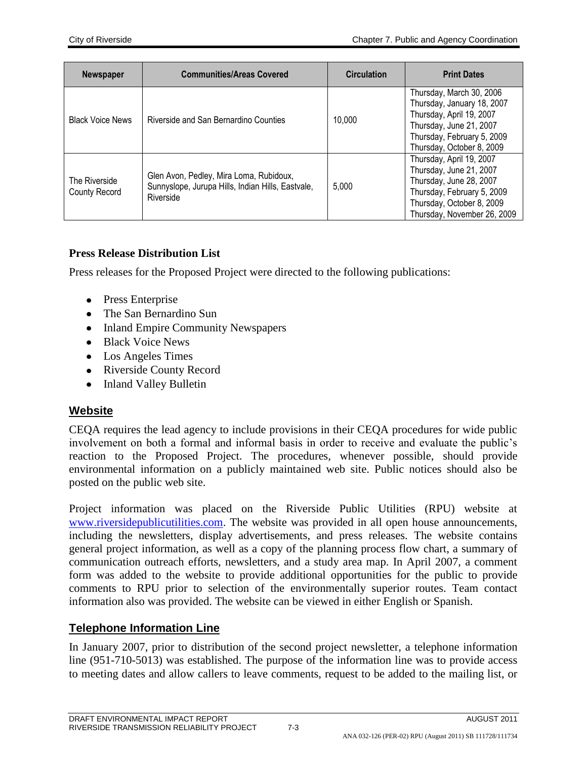| <b>Newspaper</b>                      | <b>Communities/Areas Covered</b>                                                                          | <b>Circulation</b> | <b>Print Dates</b>                                                                                                                                                       |
|---------------------------------------|-----------------------------------------------------------------------------------------------------------|--------------------|--------------------------------------------------------------------------------------------------------------------------------------------------------------------------|
| <b>Black Voice News</b>               | Riverside and San Bernardino Counties                                                                     | 10.000             | Thursday, March 30, 2006<br>Thursday, January 18, 2007<br>Thursday, April 19, 2007<br>Thursday, June 21, 2007<br>Thursday, February 5, 2009<br>Thursday, October 8, 2009 |
| The Riverside<br><b>County Record</b> | Glen Avon, Pedley, Mira Loma, Rubidoux,<br>Sunnyslope, Jurupa Hills, Indian Hills, Eastvale,<br>Riverside | 5,000              | Thursday, April 19, 2007<br>Thursday, June 21, 2007<br>Thursday, June 28, 2007<br>Thursday, February 5, 2009<br>Thursday, October 8, 2009<br>Thursday, November 26, 2009 |

### **Press Release Distribution List**

Press releases for the Proposed Project were directed to the following publications:

- Press Enterprise
- The San Bernardino Sun
- Inland Empire Community Newspapers
- Black Voice News
- Los Angeles Times
- Riverside County Record
- Inland Valley Bulletin

### **Website**

CEQA requires the lead agency to include provisions in their CEQA procedures for wide public involvement on both a formal and informal basis in order to receive and evaluate the public's reaction to the Proposed Project. The procedures, whenever possible, should provide environmental information on a publicly maintained web site. Public notices should also be posted on the public web site.

Project information was placed on the Riverside Public Utilities (RPU) website at [www.riversidepublicutilities.com.](http://www.riversidepublicutilities.com/) The website was provided in all open house announcements, including the newsletters, display advertisements, and press releases. The website contains general project information, as well as a copy of the planning process flow chart, a summary of communication outreach efforts, newsletters, and a study area map. In April 2007, a comment form was added to the website to provide additional opportunities for the public to provide comments to RPU prior to selection of the environmentally superior routes. Team contact information also was provided. The website can be viewed in either English or Spanish.

### **Telephone Information Line**

In January 2007, prior to distribution of the second project newsletter, a telephone information line (951-710-5013) was established. The purpose of the information line was to provide access to meeting dates and allow callers to leave comments, request to be added to the mailing list, or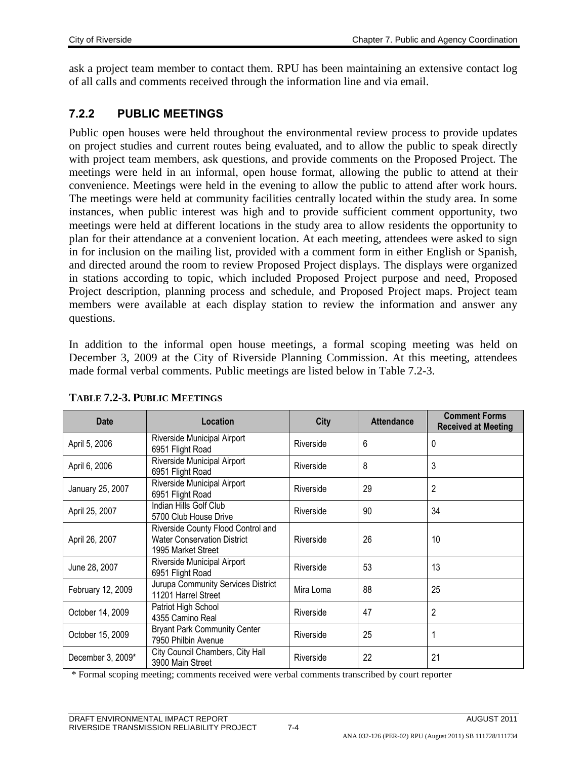ask a project team member to contact them. RPU has been maintaining an extensive contact log of all calls and comments received through the information line and via email.

### **7.2.2 PUBLIC MEETINGS**

Public open houses were held throughout the environmental review process to provide updates on project studies and current routes being evaluated, and to allow the public to speak directly with project team members, ask questions, and provide comments on the Proposed Project. The meetings were held in an informal, open house format, allowing the public to attend at their convenience. Meetings were held in the evening to allow the public to attend after work hours. The meetings were held at community facilities centrally located within the study area. In some instances, when public interest was high and to provide sufficient comment opportunity, two meetings were held at different locations in the study area to allow residents the opportunity to plan for their attendance at a convenient location. At each meeting, attendees were asked to sign in for inclusion on the mailing list, provided with a comment form in either English or Spanish, and directed around the room to review Proposed Project displays. The displays were organized in stations according to topic, which included Proposed Project purpose and need, Proposed Project description, planning process and schedule, and Proposed Project maps. Project team members were available at each display station to review the information and answer any questions.

In addition to the informal open house meetings, a formal scoping meeting was held on December 3, 2009 at the City of Riverside Planning Commission. At this meeting, attendees made formal verbal comments. Public meetings are listed below in Table 7.2-3.

| Date              | Location                                                                                       | <b>City</b> | <b>Attendance</b> | <b>Comment Forms</b><br><b>Received at Meeting</b> |
|-------------------|------------------------------------------------------------------------------------------------|-------------|-------------------|----------------------------------------------------|
| April 5, 2006     | Riverside Municipal Airport<br>6951 Flight Road                                                | Riverside   | 6                 | 0                                                  |
| April 6, 2006     | Riverside Municipal Airport<br>6951 Flight Road                                                | Riverside   | 8                 | 3                                                  |
| January 25, 2007  | Riverside Municipal Airport<br>6951 Flight Road                                                | Riverside   | 29                | 2                                                  |
| April 25, 2007    | Indian Hills Golf Club<br>5700 Club House Drive                                                | Riverside   | 90                | 34                                                 |
| April 26, 2007    | Riverside County Flood Control and<br><b>Water Conservation District</b><br>1995 Market Street | Riverside   | 26                | 10                                                 |
| June 28, 2007     | Riverside Municipal Airport<br>6951 Flight Road                                                | Riverside   | 53                | 13                                                 |
| February 12, 2009 | Jurupa Community Services District<br>11201 Harrel Street                                      | Mira Loma   | 88                | 25                                                 |
| October 14, 2009  | Patriot High School<br>4355 Camino Real                                                        | Riverside   | 47                | $\overline{2}$                                     |
| October 15, 2009  | <b>Bryant Park Community Center</b><br>7950 Philbin Avenue                                     | Riverside   | 25                | 1                                                  |
| December 3, 2009* | City Council Chambers, City Hall<br>3900 Main Street                                           | Riverside   | 22                | 21                                                 |

#### **TABLE 7.2-3. PUBLIC MEETINGS**

\* Formal scoping meeting; comments received were verbal comments transcribed by court reporter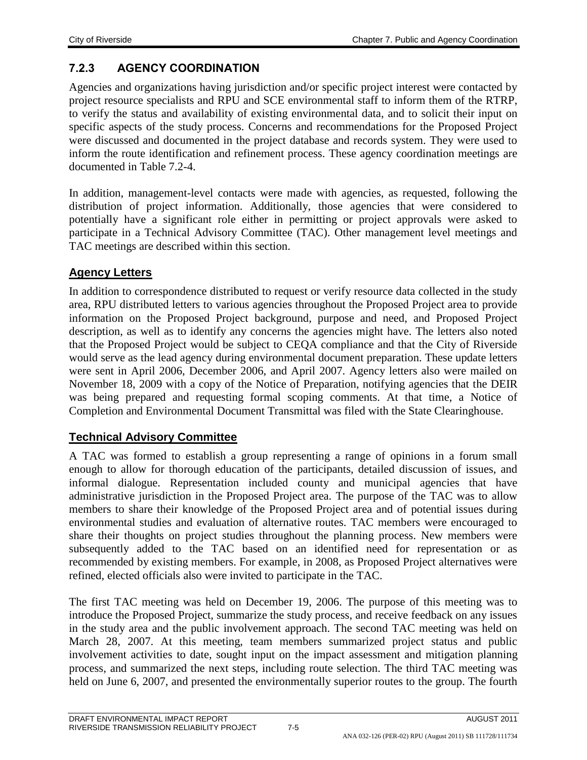# **7.2.3 AGENCY COORDINATION**

Agencies and organizations having jurisdiction and/or specific project interest were contacted by project resource specialists and RPU and SCE environmental staff to inform them of the RTRP, to verify the status and availability of existing environmental data, and to solicit their input on specific aspects of the study process. Concerns and recommendations for the Proposed Project were discussed and documented in the project database and records system. They were used to inform the route identification and refinement process. These agency coordination meetings are documented in Table 7.2-4.

In addition, management-level contacts were made with agencies, as requested, following the distribution of project information. Additionally, those agencies that were considered to potentially have a significant role either in permitting or project approvals were asked to participate in a Technical Advisory Committee (TAC). Other management level meetings and TAC meetings are described within this section.

### **Agency Letters**

In addition to correspondence distributed to request or verify resource data collected in the study area, RPU distributed letters to various agencies throughout the Proposed Project area to provide information on the Proposed Project background, purpose and need, and Proposed Project description, as well as to identify any concerns the agencies might have. The letters also noted that the Proposed Project would be subject to CEQA compliance and that the City of Riverside would serve as the lead agency during environmental document preparation. These update letters were sent in April 2006, December 2006, and April 2007. Agency letters also were mailed on November 18, 2009 with a copy of the Notice of Preparation, notifying agencies that the DEIR was being prepared and requesting formal scoping comments. At that time, a Notice of Completion and Environmental Document Transmittal was filed with the State Clearinghouse.

### **Technical Advisory Committee**

A TAC was formed to establish a group representing a range of opinions in a forum small enough to allow for thorough education of the participants, detailed discussion of issues, and informal dialogue. Representation included county and municipal agencies that have administrative jurisdiction in the Proposed Project area. The purpose of the TAC was to allow members to share their knowledge of the Proposed Project area and of potential issues during environmental studies and evaluation of alternative routes. TAC members were encouraged to share their thoughts on project studies throughout the planning process. New members were subsequently added to the TAC based on an identified need for representation or as recommended by existing members. For example, in 2008, as Proposed Project alternatives were refined, elected officials also were invited to participate in the TAC.

The first TAC meeting was held on December 19, 2006. The purpose of this meeting was to introduce the Proposed Project, summarize the study process, and receive feedback on any issues in the study area and the public involvement approach. The second TAC meeting was held on March 28, 2007. At this meeting, team members summarized project status and public involvement activities to date, sought input on the impact assessment and mitigation planning process, and summarized the next steps, including route selection. The third TAC meeting was held on June 6, 2007, and presented the environmentally superior routes to the group. The fourth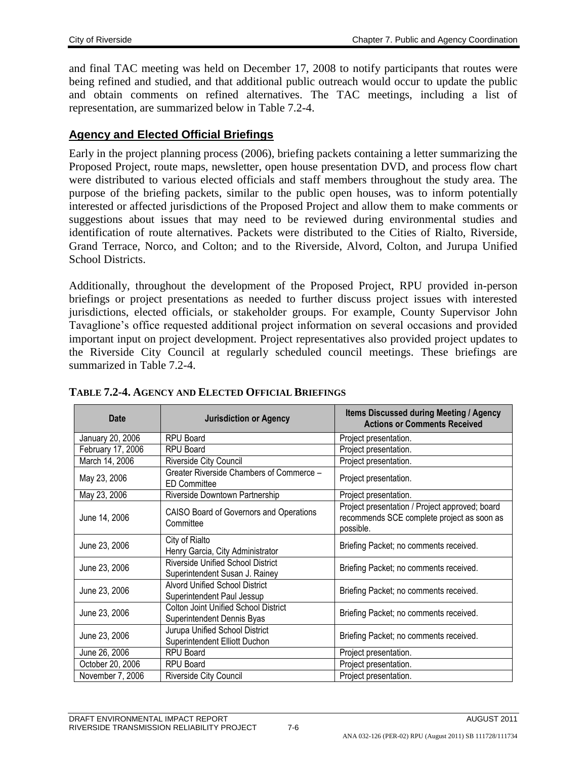and final TAC meeting was held on December 17, 2008 to notify participants that routes were being refined and studied, and that additional public outreach would occur to update the public and obtain comments on refined alternatives. The TAC meetings, including a list of representation, are summarized below in Table 7.2-4.

### **Agency and Elected Official Briefings**

Early in the project planning process (2006), briefing packets containing a letter summarizing the Proposed Project, route maps, newsletter, open house presentation DVD, and process flow chart were distributed to various elected officials and staff members throughout the study area. The purpose of the briefing packets, similar to the public open houses, was to inform potentially interested or affected jurisdictions of the Proposed Project and allow them to make comments or suggestions about issues that may need to be reviewed during environmental studies and identification of route alternatives. Packets were distributed to the Cities of Rialto, Riverside, Grand Terrace, Norco, and Colton; and to the Riverside, Alvord, Colton, and Jurupa Unified School Districts.

Additionally, throughout the development of the Proposed Project, RPU provided in-person briefings or project presentations as needed to further discuss project issues with interested jurisdictions, elected officials, or stakeholder groups. For example, County Supervisor John Tavaglione's office requested additional project information on several occasions and provided important input on project development. Project representatives also provided project updates to the Riverside City Council at regularly scheduled council meetings. These briefings are summarized in Table 7.2-4.

| <b>Date</b>       | <b>Jurisdiction or Agency</b>                                              | <b>Items Discussed during Meeting / Agency</b><br><b>Actions or Comments Received</b>                     |
|-------------------|----------------------------------------------------------------------------|-----------------------------------------------------------------------------------------------------------|
| January 20, 2006  | <b>RPU Board</b>                                                           | Project presentation.                                                                                     |
| February 17, 2006 | <b>RPU Board</b>                                                           | Project presentation.                                                                                     |
| March 14, 2006    | Riverside City Council                                                     | Project presentation.                                                                                     |
| May 23, 2006      | Greater Riverside Chambers of Commerce -<br><b>ED Committee</b>            | Project presentation.                                                                                     |
| May 23, 2006      | Riverside Downtown Partnership                                             | Project presentation.                                                                                     |
| June 14, 2006     | CAISO Board of Governors and Operations<br>Committee                       | Project presentation / Project approved; board<br>recommends SCE complete project as soon as<br>possible. |
| June 23, 2006     | City of Rialto<br>Henry Garcia, City Administrator                         | Briefing Packet; no comments received.                                                                    |
| June 23, 2006     | <b>Riverside Unified School District</b><br>Superintendent Susan J. Rainey | Briefing Packet; no comments received.                                                                    |
| June 23, 2006     | <b>Alvord Unified School District</b><br>Superintendent Paul Jessup        | Briefing Packet; no comments received.                                                                    |
| June 23, 2006     | <b>Colton Joint Unified School District</b><br>Superintendent Dennis Byas  | Briefing Packet; no comments received.                                                                    |
| June 23, 2006     | Jurupa Unified School District<br>Superintendent Elliott Duchon            | Briefing Packet; no comments received.                                                                    |
| June 26, 2006     | <b>RPU Board</b>                                                           | Project presentation.                                                                                     |
| October 20, 2006  | RPU Board                                                                  | Project presentation.                                                                                     |
| November 7, 2006  | Riverside City Council                                                     | Project presentation.                                                                                     |

#### **TABLE 7.2-4. AGENCY AND ELECTED OFFICIAL BRIEFINGS**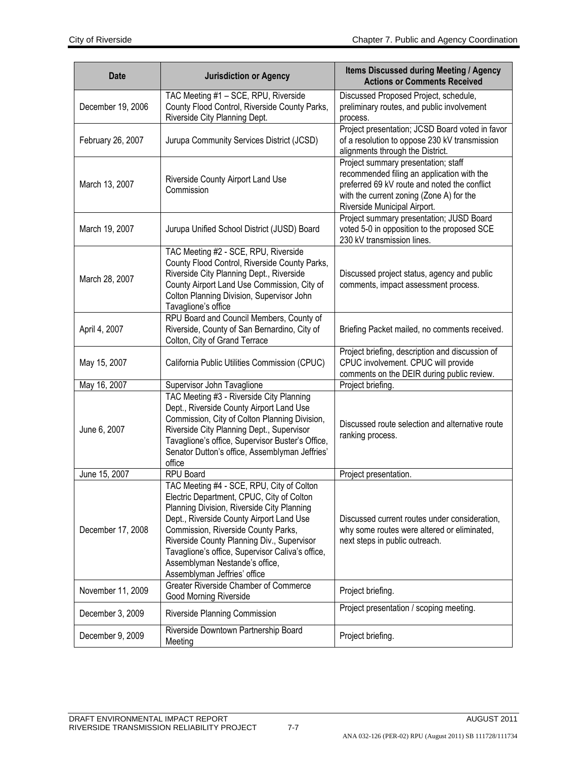| <b>Date</b>       | <b>Jurisdiction or Agency</b>                                                                                                                                                                                                                                                                                                                                                               | <b>Items Discussed during Meeting / Agency</b><br><b>Actions or Comments Received</b>                                                                                                                         |
|-------------------|---------------------------------------------------------------------------------------------------------------------------------------------------------------------------------------------------------------------------------------------------------------------------------------------------------------------------------------------------------------------------------------------|---------------------------------------------------------------------------------------------------------------------------------------------------------------------------------------------------------------|
| December 19, 2006 | TAC Meeting #1 - SCE, RPU, Riverside<br>County Flood Control, Riverside County Parks,<br>Riverside City Planning Dept.                                                                                                                                                                                                                                                                      | Discussed Proposed Project, schedule,<br>preliminary routes, and public involvement<br>process.                                                                                                               |
| February 26, 2007 | Jurupa Community Services District (JCSD)                                                                                                                                                                                                                                                                                                                                                   | Project presentation; JCSD Board voted in favor<br>of a resolution to oppose 230 kV transmission<br>alignments through the District.                                                                          |
| March 13, 2007    | Riverside County Airport Land Use<br>Commission                                                                                                                                                                                                                                                                                                                                             | Project summary presentation; staff<br>recommended filing an application with the<br>preferred 69 kV route and noted the conflict<br>with the current zoning (Zone A) for the<br>Riverside Municipal Airport. |
| March 19, 2007    | Jurupa Unified School District (JUSD) Board                                                                                                                                                                                                                                                                                                                                                 | Project summary presentation; JUSD Board<br>voted 5-0 in opposition to the proposed SCE<br>230 kV transmission lines.                                                                                         |
| March 28, 2007    | TAC Meeting #2 - SCE, RPU, Riverside<br>County Flood Control, Riverside County Parks,<br>Riverside City Planning Dept., Riverside<br>County Airport Land Use Commission, City of<br>Colton Planning Division, Supervisor John<br>Tavaglione's office                                                                                                                                        | Discussed project status, agency and public<br>comments, impact assessment process.                                                                                                                           |
| April 4, 2007     | RPU Board and Council Members, County of<br>Riverside, County of San Bernardino, City of<br>Colton, City of Grand Terrace                                                                                                                                                                                                                                                                   | Briefing Packet mailed, no comments received.                                                                                                                                                                 |
| May 15, 2007      | California Public Utilities Commission (CPUC)                                                                                                                                                                                                                                                                                                                                               | Project briefing, description and discussion of<br>CPUC involvement. CPUC will provide<br>comments on the DEIR during public review.                                                                          |
| May 16, 2007      | Supervisor John Tavaglione                                                                                                                                                                                                                                                                                                                                                                  | Project briefing.                                                                                                                                                                                             |
| June 6, 2007      | TAC Meeting #3 - Riverside City Planning<br>Dept., Riverside County Airport Land Use<br>Commission, City of Colton Planning Division,<br>Riverside City Planning Dept., Supervisor<br>Tavaglione's office, Supervisor Buster's Office,<br>Senator Dutton's office, Assemblyman Jeffries'<br>office                                                                                          | Discussed route selection and alternative route<br>ranking process.                                                                                                                                           |
| June 15, 2007     | RPU Board                                                                                                                                                                                                                                                                                                                                                                                   | Project presentation.                                                                                                                                                                                         |
| December 17, 2008 | TAC Meeting #4 - SCE, RPU, City of Colton<br>Electric Department, CPUC, City of Colton<br>Planning Division, Riverside City Planning<br>Dept., Riverside County Airport Land Use<br>Commission, Riverside County Parks,<br>Riverside County Planning Div., Supervisor<br>Tavaglione's office, Supervisor Caliva's office,<br>Assemblyman Nestande's office,<br>Assemblyman Jeffries' office | Discussed current routes under consideration,<br>why some routes were altered or eliminated,<br>next steps in public outreach.                                                                                |
| November 11, 2009 | Greater Riverside Chamber of Commerce<br>Good Morning Riverside                                                                                                                                                                                                                                                                                                                             | Project briefing.                                                                                                                                                                                             |
| December 3, 2009  | Riverside Planning Commission                                                                                                                                                                                                                                                                                                                                                               | Project presentation / scoping meeting.                                                                                                                                                                       |
| December 9, 2009  | Riverside Downtown Partnership Board<br>Meeting                                                                                                                                                                                                                                                                                                                                             | Project briefing.                                                                                                                                                                                             |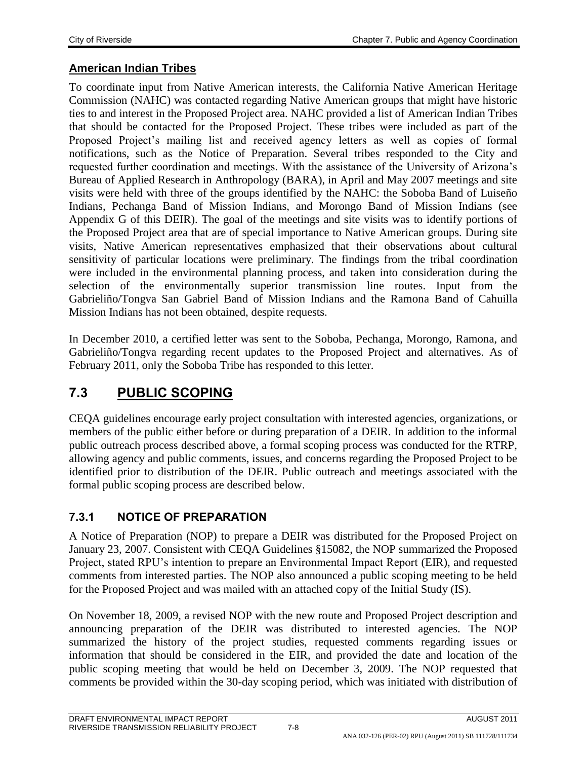### **American Indian Tribes**

To coordinate input from Native American interests, the California Native American Heritage Commission (NAHC) was contacted regarding Native American groups that might have historic ties to and interest in the Proposed Project area. NAHC provided a list of American Indian Tribes that should be contacted for the Proposed Project. These tribes were included as part of the Proposed Project's mailing list and received agency letters as well as copies of formal notifications, such as the Notice of Preparation. Several tribes responded to the City and requested further coordination and meetings. With the assistance of the University of Arizona's Bureau of Applied Research in Anthropology (BARA), in April and May 2007 meetings and site visits were held with three of the groups identified by the NAHC: the Soboba Band of Luiseño Indians, Pechanga Band of Mission Indians, and Morongo Band of Mission Indians (see Appendix G of this DEIR). The goal of the meetings and site visits was to identify portions of the Proposed Project area that are of special importance to Native American groups. During site visits, Native American representatives emphasized that their observations about cultural sensitivity of particular locations were preliminary. The findings from the tribal coordination were included in the environmental planning process, and taken into consideration during the selection of the environmentally superior transmission line routes. Input from the Gabrieliño/Tongva San Gabriel Band of Mission Indians and the Ramona Band of Cahuilla Mission Indians has not been obtained, despite requests.

In December 2010, a certified letter was sent to the Soboba, Pechanga, Morongo, Ramona, and Gabrieliño/Tongva regarding recent updates to the Proposed Project and alternatives. As of February 2011, only the Soboba Tribe has responded to this letter.

# **7.3 PUBLIC SCOPING**

CEQA guidelines encourage early project consultation with interested agencies, organizations, or members of the public either before or during preparation of a DEIR. In addition to the informal public outreach process described above, a formal scoping process was conducted for the RTRP, allowing agency and public comments, issues, and concerns regarding the Proposed Project to be identified prior to distribution of the DEIR. Public outreach and meetings associated with the formal public scoping process are described below.

### **7.3.1 NOTICE OF PREPARATION**

A Notice of Preparation (NOP) to prepare a DEIR was distributed for the Proposed Project on January 23, 2007. Consistent with CEQA Guidelines §15082, the NOP summarized the Proposed Project, stated RPU's intention to prepare an Environmental Impact Report (EIR), and requested comments from interested parties. The NOP also announced a public scoping meeting to be held for the Proposed Project and was mailed with an attached copy of the Initial Study (IS).

On November 18, 2009, a revised NOP with the new route and Proposed Project description and announcing preparation of the DEIR was distributed to interested agencies. The NOP summarized the history of the project studies, requested comments regarding issues or information that should be considered in the EIR, and provided the date and location of the public scoping meeting that would be held on December 3, 2009. The NOP requested that comments be provided within the 30-day scoping period, which was initiated with distribution of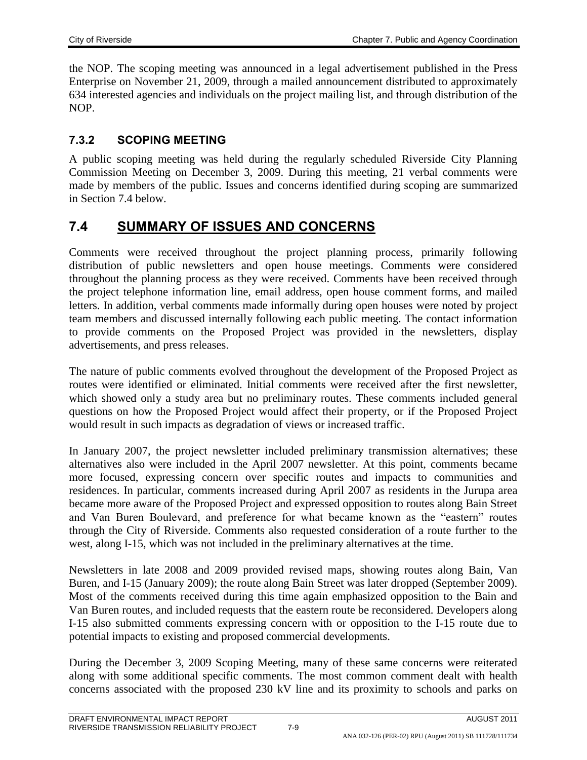the NOP. The scoping meeting was announced in a legal advertisement published in the Press Enterprise on November 21, 2009, through a mailed announcement distributed to approximately 634 interested agencies and individuals on the project mailing list, and through distribution of the NOP.

### **7.3.2 SCOPING MEETING**

A public scoping meeting was held during the regularly scheduled Riverside City Planning Commission Meeting on December 3, 2009. During this meeting, 21 verbal comments were made by members of the public. Issues and concerns identified during scoping are summarized in Section 7.4 below.

# **7.4 SUMMARY OF ISSUES AND CONCERNS**

Comments were received throughout the project planning process, primarily following distribution of public newsletters and open house meetings. Comments were considered throughout the planning process as they were received. Comments have been received through the project telephone information line, email address, open house comment forms, and mailed letters. In addition, verbal comments made informally during open houses were noted by project team members and discussed internally following each public meeting. The contact information to provide comments on the Proposed Project was provided in the newsletters, display advertisements, and press releases.

The nature of public comments evolved throughout the development of the Proposed Project as routes were identified or eliminated. Initial comments were received after the first newsletter, which showed only a study area but no preliminary routes. These comments included general questions on how the Proposed Project would affect their property, or if the Proposed Project would result in such impacts as degradation of views or increased traffic.

In January 2007, the project newsletter included preliminary transmission alternatives; these alternatives also were included in the April 2007 newsletter. At this point, comments became more focused, expressing concern over specific routes and impacts to communities and residences. In particular, comments increased during April 2007 as residents in the Jurupa area became more aware of the Proposed Project and expressed opposition to routes along Bain Street and Van Buren Boulevard, and preference for what became known as the "eastern" routes through the City of Riverside. Comments also requested consideration of a route further to the west, along I-15, which was not included in the preliminary alternatives at the time.

Newsletters in late 2008 and 2009 provided revised maps, showing routes along Bain, Van Buren, and I-15 (January 2009); the route along Bain Street was later dropped (September 2009). Most of the comments received during this time again emphasized opposition to the Bain and Van Buren routes, and included requests that the eastern route be reconsidered. Developers along I-15 also submitted comments expressing concern with or opposition to the I-15 route due to potential impacts to existing and proposed commercial developments.

During the December 3, 2009 Scoping Meeting, many of these same concerns were reiterated along with some additional specific comments. The most common comment dealt with health concerns associated with the proposed 230 kV line and its proximity to schools and parks on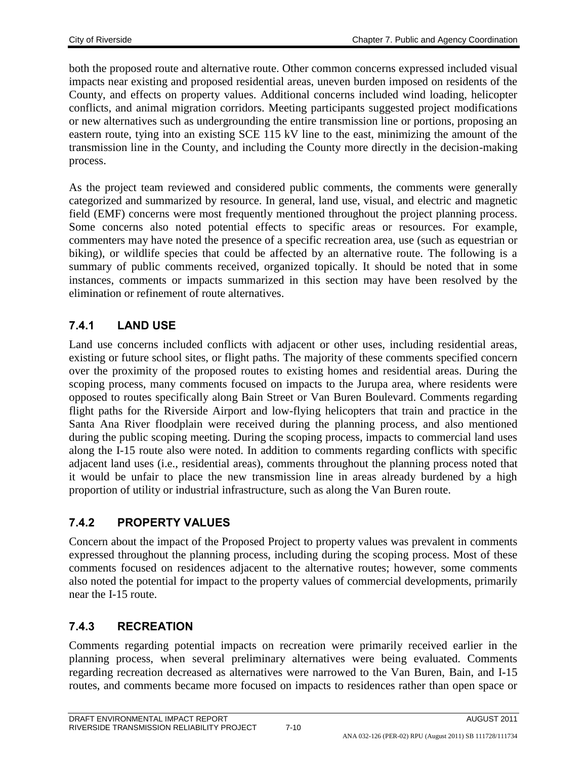both the proposed route and alternative route. Other common concerns expressed included visual impacts near existing and proposed residential areas, uneven burden imposed on residents of the County, and effects on property values. Additional concerns included wind loading, helicopter conflicts, and animal migration corridors. Meeting participants suggested project modifications or new alternatives such as undergrounding the entire transmission line or portions, proposing an eastern route, tying into an existing SCE 115 kV line to the east, minimizing the amount of the transmission line in the County, and including the County more directly in the decision-making process.

As the project team reviewed and considered public comments, the comments were generally categorized and summarized by resource. In general, land use, visual, and electric and magnetic field (EMF) concerns were most frequently mentioned throughout the project planning process. Some concerns also noted potential effects to specific areas or resources. For example, commenters may have noted the presence of a specific recreation area, use (such as equestrian or biking), or wildlife species that could be affected by an alternative route. The following is a summary of public comments received, organized topically. It should be noted that in some instances, comments or impacts summarized in this section may have been resolved by the elimination or refinement of route alternatives.

# **7.4.1 LAND USE**

Land use concerns included conflicts with adjacent or other uses, including residential areas, existing or future school sites, or flight paths. The majority of these comments specified concern over the proximity of the proposed routes to existing homes and residential areas. During the scoping process, many comments focused on impacts to the Jurupa area, where residents were opposed to routes specifically along Bain Street or Van Buren Boulevard. Comments regarding flight paths for the Riverside Airport and low-flying helicopters that train and practice in the Santa Ana River floodplain were received during the planning process, and also mentioned during the public scoping meeting. During the scoping process, impacts to commercial land uses along the I-15 route also were noted. In addition to comments regarding conflicts with specific adjacent land uses (i.e., residential areas), comments throughout the planning process noted that it would be unfair to place the new transmission line in areas already burdened by a high proportion of utility or industrial infrastructure, such as along the Van Buren route.

# **7.4.2 PROPERTY VALUES**

Concern about the impact of the Proposed Project to property values was prevalent in comments expressed throughout the planning process, including during the scoping process. Most of these comments focused on residences adjacent to the alternative routes; however, some comments also noted the potential for impact to the property values of commercial developments, primarily near the I-15 route.

# **7.4.3 RECREATION**

Comments regarding potential impacts on recreation were primarily received earlier in the planning process, when several preliminary alternatives were being evaluated. Comments regarding recreation decreased as alternatives were narrowed to the Van Buren, Bain, and I-15 routes, and comments became more focused on impacts to residences rather than open space or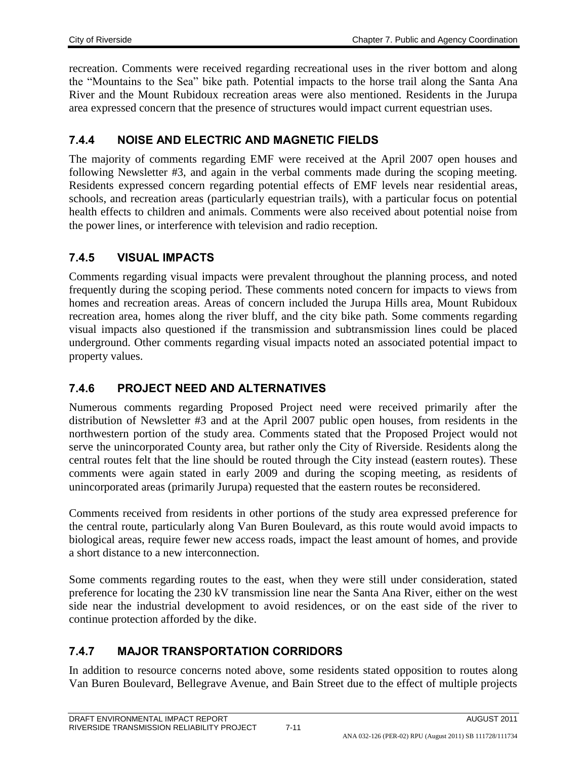recreation. Comments were received regarding recreational uses in the river bottom and along the "Mountains to the Sea" bike path. Potential impacts to the horse trail along the Santa Ana River and the Mount Rubidoux recreation areas were also mentioned. Residents in the Jurupa area expressed concern that the presence of structures would impact current equestrian uses.

### **7.4.4 NOISE AND ELECTRIC AND MAGNETIC FIELDS**

The majority of comments regarding EMF were received at the April 2007 open houses and following Newsletter #3, and again in the verbal comments made during the scoping meeting. Residents expressed concern regarding potential effects of EMF levels near residential areas, schools, and recreation areas (particularly equestrian trails), with a particular focus on potential health effects to children and animals. Comments were also received about potential noise from the power lines, or interference with television and radio reception.

### **7.4.5 VISUAL IMPACTS**

Comments regarding visual impacts were prevalent throughout the planning process, and noted frequently during the scoping period. These comments noted concern for impacts to views from homes and recreation areas. Areas of concern included the Jurupa Hills area, Mount Rubidoux recreation area, homes along the river bluff, and the city bike path. Some comments regarding visual impacts also questioned if the transmission and subtransmission lines could be placed underground. Other comments regarding visual impacts noted an associated potential impact to property values.

### **7.4.6 PROJECT NEED AND ALTERNATIVES**

Numerous comments regarding Proposed Project need were received primarily after the distribution of Newsletter #3 and at the April 2007 public open houses, from residents in the northwestern portion of the study area. Comments stated that the Proposed Project would not serve the unincorporated County area, but rather only the City of Riverside. Residents along the central routes felt that the line should be routed through the City instead (eastern routes). These comments were again stated in early 2009 and during the scoping meeting, as residents of unincorporated areas (primarily Jurupa) requested that the eastern routes be reconsidered.

Comments received from residents in other portions of the study area expressed preference for the central route, particularly along Van Buren Boulevard, as this route would avoid impacts to biological areas, require fewer new access roads, impact the least amount of homes, and provide a short distance to a new interconnection.

Some comments regarding routes to the east, when they were still under consideration, stated preference for locating the 230 kV transmission line near the Santa Ana River, either on the west side near the industrial development to avoid residences, or on the east side of the river to continue protection afforded by the dike.

# **7.4.7 MAJOR TRANSPORTATION CORRIDORS**

In addition to resource concerns noted above, some residents stated opposition to routes along Van Buren Boulevard, Bellegrave Avenue, and Bain Street due to the effect of multiple projects